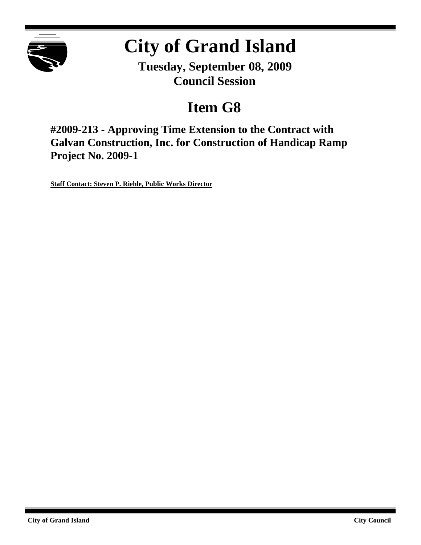

# **City of Grand Island**

**Tuesday, September 08, 2009 Council Session**

## **Item G8**

**#2009-213 - Approving Time Extension to the Contract with Galvan Construction, Inc. for Construction of Handicap Ramp Project No. 2009-1**

**Staff Contact: Steven P. Riehle, Public Works Director**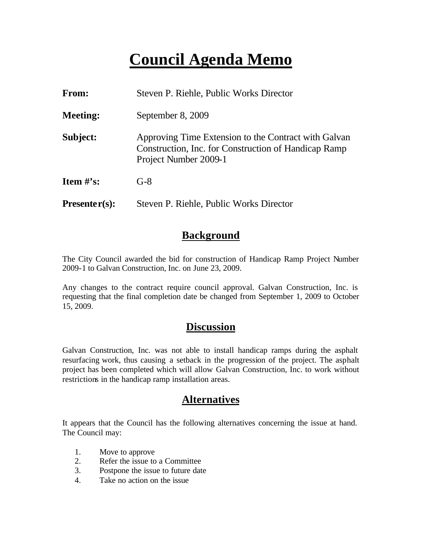## **Council Agenda Memo**

| From:                          | Steven P. Riehle, Public Works Director                                                                                               |
|--------------------------------|---------------------------------------------------------------------------------------------------------------------------------------|
| <b>Meeting:</b>                | September 8, 2009                                                                                                                     |
| Subject:                       | Approving Time Extension to the Contract with Galvan<br>Construction, Inc. for Construction of Handicap Ramp<br>Project Number 2009-1 |
| <b>Item <math>\#</math>'s:</b> | $G-8$                                                                                                                                 |
| $Presenter(s):$                | Steven P. Riehle, Public Works Director                                                                                               |

## **Background**

The City Council awarded the bid for construction of Handicap Ramp Project Number 2009-1 to Galvan Construction, Inc. on June 23, 2009.

Any changes to the contract require council approval. Galvan Construction, Inc. is requesting that the final completion date be changed from September 1, 2009 to October 15, 2009.

### **Discussion**

Galvan Construction, Inc. was not able to install handicap ramps during the asphalt resurfacing work, thus causing a setback in the progression of the project. The asphalt project has been completed which will allow Galvan Construction, Inc. to work without restrictions in the handicap ramp installation areas.

## **Alternatives**

It appears that the Council has the following alternatives concerning the issue at hand. The Council may:

- 1. Move to approve
- 2. Refer the issue to a Committee
- 3. Postpone the issue to future date
- 4. Take no action on the issue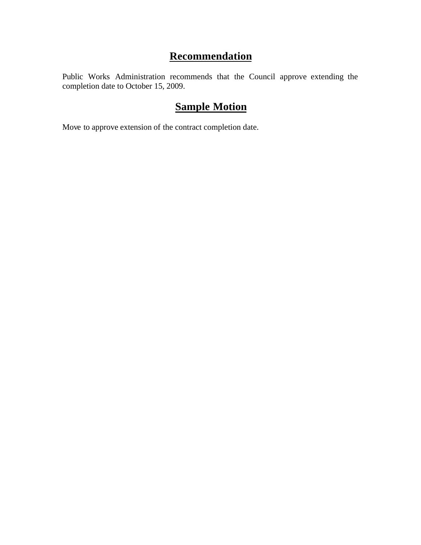## **Recommendation**

Public Works Administration recommends that the Council approve extending the completion date to October 15, 2009.

## **Sample Motion**

Move to approve extension of the contract completion date.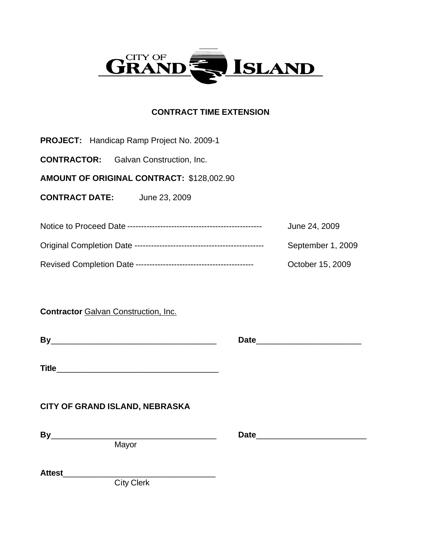

#### **CONTRACT TIME EXTENSION**

**PROJECT:** Handicap Ramp Project No. 2009-1

**CONTRACTOR:** Galvan Construction, Inc.

**AMOUNT OF ORIGINAL CONTRACT:** \$128,002.90

**CONTRACT DATE:** June 23, 2009

| June 24, 2009     |
|-------------------|
| September 1, 2009 |
| October 15, 2009  |

**Contractor** Galvan Construction, Inc.

**Title**\_\_\_\_\_\_\_\_\_\_\_\_\_\_\_\_\_\_\_\_\_\_\_\_\_\_\_\_\_\_\_\_\_\_\_

### **CITY OF GRAND ISLAND, NEBRASKA**

**Mayor** 

**By**\_\_\_\_\_\_\_\_\_\_\_\_\_\_\_\_\_\_\_\_\_\_\_\_\_\_\_\_\_\_\_\_\_\_\_\_ **Date**\_\_\_\_\_\_\_\_\_\_\_\_\_\_\_\_\_\_\_\_\_\_\_\_

**By**\_\_\_\_\_\_\_\_\_\_\_\_\_\_\_\_\_\_\_\_\_\_\_\_\_\_\_\_\_\_\_\_\_\_\_\_ **Date**\_\_\_\_\_\_\_\_\_\_\_\_\_\_\_\_\_\_\_\_\_\_\_

**Attest**\_\_\_\_\_\_\_\_\_\_\_\_\_\_\_\_\_\_\_\_\_\_\_\_\_\_\_\_\_\_\_\_\_

City Clerk